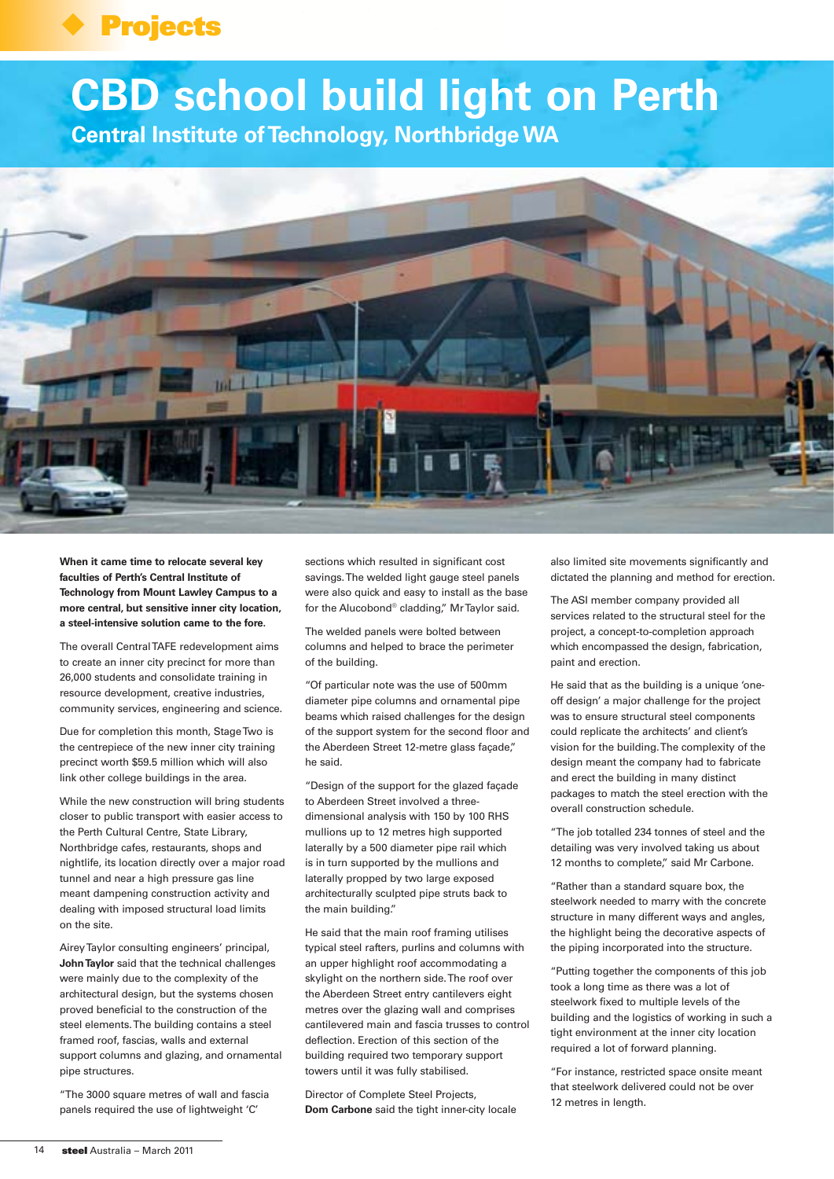## **Projects**

## **CBD school build light on Perth**

**Central Institute of Technology, Northbridge WA**



**When it came time to relocate several key faculties of Perth's Central Institute of Technology from Mount Lawley Campus to a more central, but sensitive inner city location, a steel-intensive solution came to the fore.**

The overall Central TAFE redevelopment aims to create an inner city precinct for more than 26,000 students and consolidate training in resource development, creative industries, community services, engineering and science.

Due for completion this month, Stage Two is the centrepiece of the new inner city training precinct worth \$59.5 million which will also link other college buildings in the area.

While the new construction will bring students closer to public transport with easier access to the Perth Cultural Centre, State Library, Northbridge cafes, restaurants, shops and nightlife, its location directly over a major road tunnel and near a high pressure gas line meant dampening construction activity and dealing with imposed structural load limits on the site.

Airey Taylor consulting engineers' principal, **John Taylor** said that the technical challenges were mainly due to the complexity of the architectural design, but the systems chosen proved beneficial to the construction of the steel elements. The building contains a steel framed roof, fascias, walls and external support columns and glazing, and ornamental pipe structures.

"The 3000 square metres of wall and fascia panels required the use of lightweight 'C'

sections which resulted in significant cost savings. The welded light gauge steel panels were also quick and easy to install as the base for the Alucobond® cladding," Mr Taylor said.

The welded panels were bolted between columns and helped to brace the perimeter of the building.

"Of particular note was the use of 500mm diameter pipe columns and ornamental pipe beams which raised challenges for the design of the support system for the second floor and the Aberdeen Street 12-metre glass façade," he said.

"Design of the support for the glazed façade to Aberdeen Street involved a threedimensional analysis with 150 by 100 RHS mullions up to 12 metres high supported laterally by a 500 diameter pipe rail which is in turn supported by the mullions and laterally propped by two large exposed architecturally sculpted pipe struts back to the main building."

He said that the main roof framing utilises typical steel rafters, purlins and columns with an upper highlight roof accommodating a skylight on the northern side. The roof over the Aberdeen Street entry cantilevers eight metres over the glazing wall and comprises cantilevered main and fascia trusses to control deflection. Erection of this section of the building required two temporary support towers until it was fully stabilised.

Director of Complete Steel Projects, **Dom Carbone** said the tight inner-city locale

also limited site movements significantly and dictated the planning and method for erection.

The ASI member company provided all services related to the structural steel for the project, a concept-to-completion approach which encompassed the design, fabrication, paint and erection.

He said that as the building is a unique 'oneoff design' a major challenge for the project was to ensure structural steel components could replicate the architects' and client's vision for the building. The complexity of the design meant the company had to fabricate and erect the building in many distinct packages to match the steel erection with the overall construction schedule.

"The job totalled 234 tonnes of steel and the detailing was very involved taking us about 12 months to complete," said Mr Carbone.

"Rather than a standard square box, the steelwork needed to marry with the concrete structure in many different ways and angles, the highlight being the decorative aspects of the piping incorporated into the structure.

"Putting together the components of this job took a long time as there was a lot of steelwork fixed to multiple levels of the building and the logistics of working in such a tight environment at the inner city location required a lot of forward planning.

"For instance, restricted space onsite meant that steelwork delivered could not be over 12 metres in length.